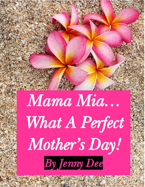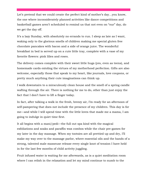Let's pretend that we could create the perfect kind of mother's day…you know, the one where inconsiderately planned activities like dance competitions and basketball games aren't scheduled to remind us that not even on "our" day, do we get the day off.

It's a lazy Sunday, with absolutely no errands to run. I sleep as late as I want, waking only to the glorious smells of children making me special gluten free chocolate pancakes with bacon and a side of orange juice. The wonderful breakfast in bed is served up on a cute little tray, complete with a vase of my favorite flowers: pink lilies and roses.

The delivery comes complete with their sweet little hugs (yes, even as teens), and homemade cards extoling the virtues of my motherhood perfection. Gifts are also welcome, especially those that speak to my heart, like journals, love coupons, or pretty much anything their cute imaginations can think up.

I walk downstairs to a miraculously clean house and the smell of a spring candle wafting through the air. There is nothing for me to do, other than just enjoy the fact that I don't have to lift a finger today.

In fact, after talking a walk in the fresh, breezy air, I'm ready for an afternoon of self-pampering that does not include the presence of my children. This day is for me—and while I will spend time with the little loves that made me a mama, I am going to indulge in quiet time first.

It all begins with a mani/pedi—the full out spa kind with the magical exfoliations and soaks and paraffin wax combos while the chair pre-games for my later in the day massage. When my tootsies are all prettied up and dry, I'll make my way over to the massage parlor, where essential oils and the hands of a strong, talented male masseuse release every single knot of tension I have held in for the last few months of child activity juggling.

Fruit infused water is waiting for me afterwards, as is a quiet meditation room where I can relish in the relaxation and let my mind continue to numb to the